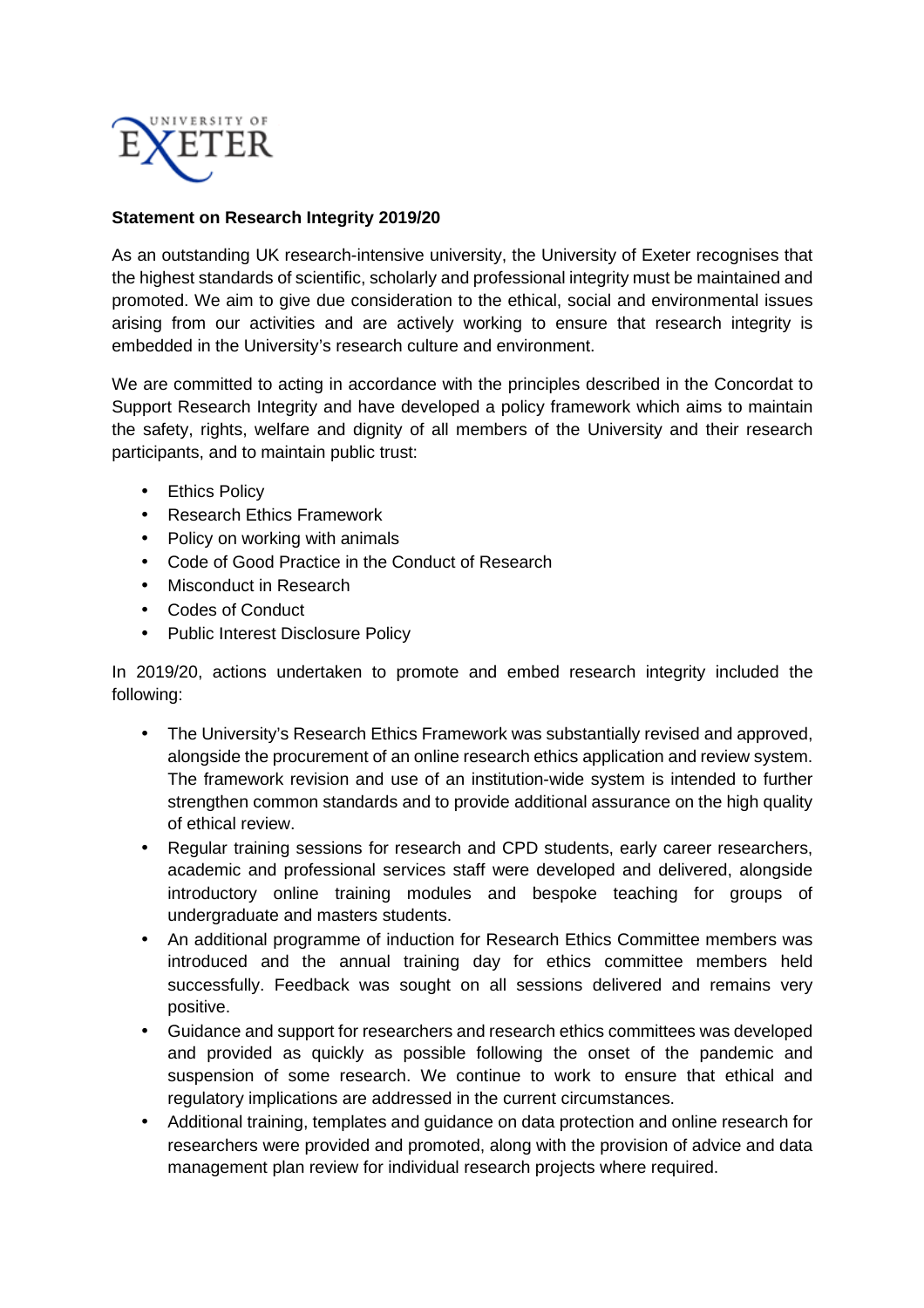

## **Statement on Research Integrity 2019/20**

As an outstanding UK research-intensive university, the University of Exeter recognises that the highest standards of scientific, scholarly and professional integrity must be maintained and promoted. We aim to give due consideration to the ethical, social and environmental issues arising from our activities and are actively working to ensure that research integrity is embedded in the University's research culture and environment.

We are committed to acting in accordance with the principles described in the Concordat to Support Research Integrity and have developed a policy framework which aims to maintain the safety, rights, welfare and dignity of all members of the University and their research participants, and to maintain public trust:

- Ethics Policy
- Research Ethics Framework
- Policy on working with animals
- Code of Good Practice in the Conduct of Research
- Misconduct in Research
- Codes of Conduct
- Public Interest Disclosure Policy

In 2019/20, actions undertaken to promote and embed research integrity included the following:

- The University's Research Ethics Framework was substantially revised and approved, alongside the procurement of an online research ethics application and review system. The framework revision and use of an institution-wide system is intended to further strengthen common standards and to provide additional assurance on the high quality of ethical review.
- Regular training sessions for research and CPD students, early career researchers, academic and professional services staff were developed and delivered, alongside introductory online training modules and bespoke teaching for groups of undergraduate and masters students.
- An additional programme of induction for Research Ethics Committee members was introduced and the annual training day for ethics committee members held successfully. Feedback was sought on all sessions delivered and remains very positive.
- Guidance and support for researchers and research ethics committees was developed and provided as quickly as possible following the onset of the pandemic and suspension of some research. We continue to work to ensure that ethical and regulatory implications are addressed in the current circumstances.
- Additional training, templates and guidance on data protection and online research for researchers were provided and promoted, along with the provision of advice and data management plan review for individual research projects where required.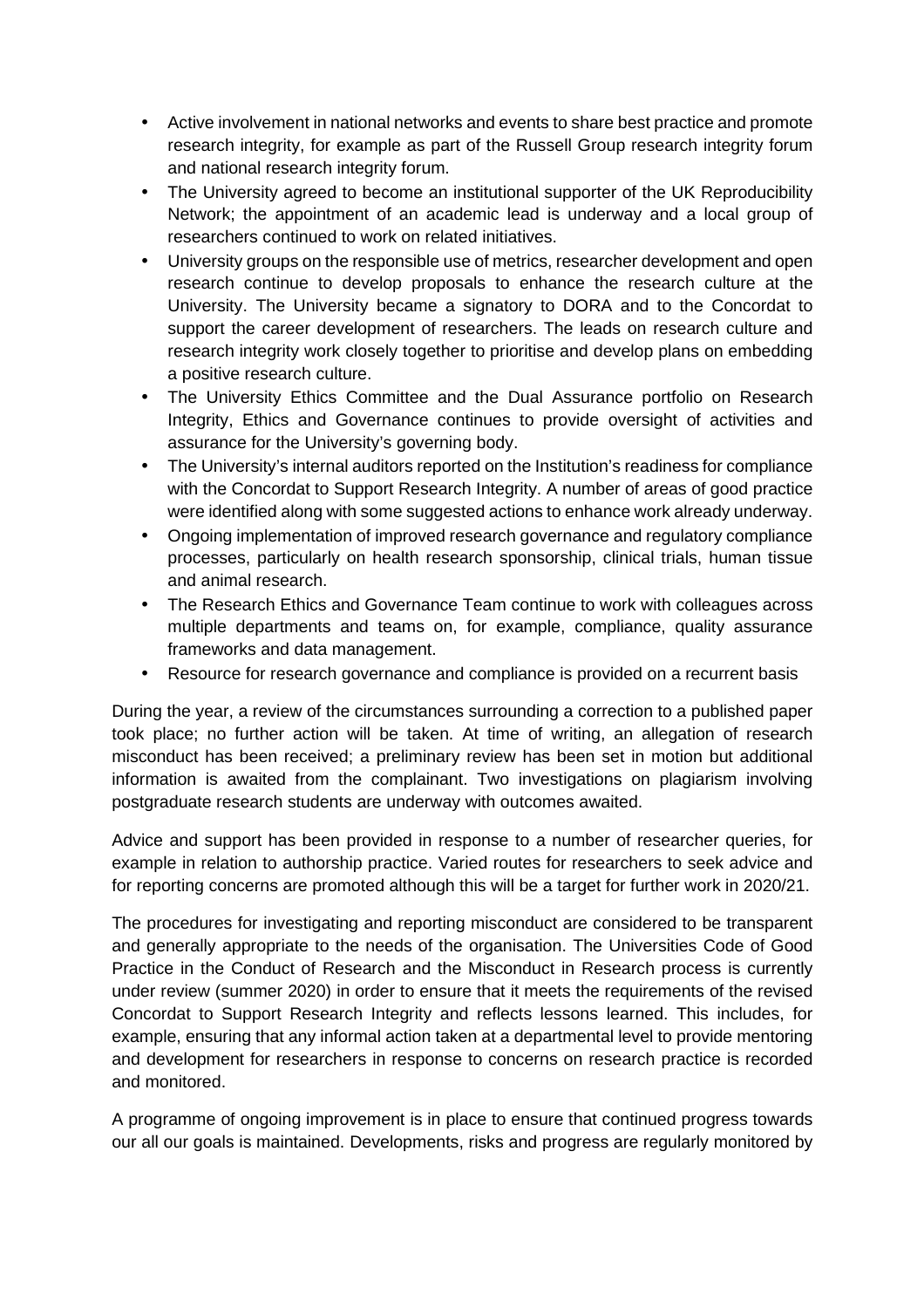- Active involvement in national networks and events to share best practice and promote research integrity, for example as part of the Russell Group research integrity forum and national research integrity forum.
- The University agreed to become an institutional supporter of the UK Reproducibility Network; the appointment of an academic lead is underway and a local group of researchers continued to work on related initiatives.
- University groups on the responsible use of metrics, researcher development and open research continue to develop proposals to enhance the research culture at the University. The University became a signatory to DORA and to the Concordat to support the career development of researchers. The leads on research culture and research integrity work closely together to prioritise and develop plans on embedding a positive research culture.
- The University Ethics Committee and the Dual Assurance portfolio on Research Integrity, Ethics and Governance continues to provide oversight of activities and assurance for the University's governing body.
- The University's internal auditors reported on the Institution's readiness for compliance with the Concordat to Support Research Integrity. A number of areas of good practice were identified along with some suggested actions to enhance work already underway.
- Ongoing implementation of improved research governance and regulatory compliance processes, particularly on health research sponsorship, clinical trials, human tissue and animal research.
- The Research Ethics and Governance Team continue to work with colleagues across multiple departments and teams on, for example, compliance, quality assurance frameworks and data management.
- Resource for research governance and compliance is provided on a recurrent basis

During the year, a review of the circumstances surrounding a correction to a published paper took place; no further action will be taken. At time of writing, an allegation of research misconduct has been received; a preliminary review has been set in motion but additional information is awaited from the complainant. Two investigations on plagiarism involving postgraduate research students are underway with outcomes awaited.

Advice and support has been provided in response to a number of researcher queries, for example in relation to authorship practice. Varied routes for researchers to seek advice and for reporting concerns are promoted although this will be a target for further work in 2020/21.

The procedures for investigating and reporting misconduct are considered to be transparent and generally appropriate to the needs of the organisation. The Universities Code of Good Practice in the Conduct of Research and the Misconduct in Research process is currently under review (summer 2020) in order to ensure that it meets the requirements of the revised Concordat to Support Research Integrity and reflects lessons learned. This includes, for example, ensuring that any informal action taken at a departmental level to provide mentoring and development for researchers in response to concerns on research practice is recorded and monitored.

A programme of ongoing improvement is in place to ensure that continued progress towards our all our goals is maintained. Developments, risks and progress are regularly monitored by